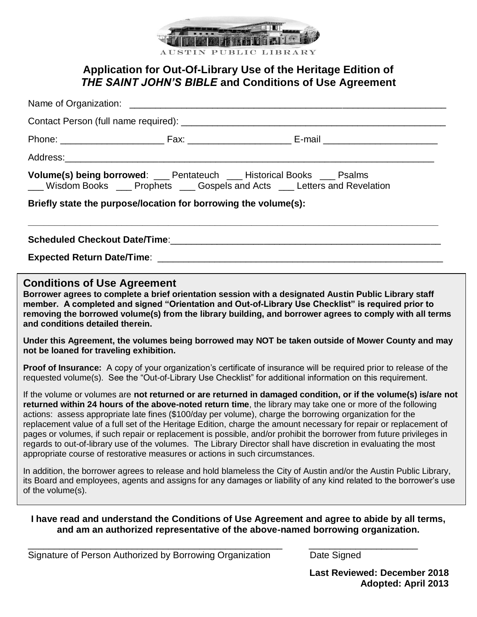

# **Application for Out-Of-Library Use of the Heritage Edition of**  *THE SAINT JOHN'S BIBLE* **and Conditions of Use Agreement**

| Volume(s) being borrowed: ___ Pentateuch ___ Historical Books ___ Psalms<br>__ Wisdom Books __ Prophets __ Gospels and Acts __ Letters and Revelation                                                                                                                                                                                                                                                                                                                                                                                                                                                                                                                                                                                                                                   |  |  |  |  |  |
|-----------------------------------------------------------------------------------------------------------------------------------------------------------------------------------------------------------------------------------------------------------------------------------------------------------------------------------------------------------------------------------------------------------------------------------------------------------------------------------------------------------------------------------------------------------------------------------------------------------------------------------------------------------------------------------------------------------------------------------------------------------------------------------------|--|--|--|--|--|
| Briefly state the purpose/location for borrowing the volume(s):                                                                                                                                                                                                                                                                                                                                                                                                                                                                                                                                                                                                                                                                                                                         |  |  |  |  |  |
|                                                                                                                                                                                                                                                                                                                                                                                                                                                                                                                                                                                                                                                                                                                                                                                         |  |  |  |  |  |
|                                                                                                                                                                                                                                                                                                                                                                                                                                                                                                                                                                                                                                                                                                                                                                                         |  |  |  |  |  |
| <b>Conditions of Use Agreement</b><br>Borrower agrees to complete a brief orientation session with a designated Austin Public Library staff<br>member. A completed and signed "Orientation and Out-of-Library Use Checklist" is required prior to<br>removing the borrowed volume(s) from the library building, and borrower agrees to comply with all terms<br>and conditions detailed therein.                                                                                                                                                                                                                                                                                                                                                                                        |  |  |  |  |  |
| Under this Agreement, the volumes being borrowed may NOT be taken outside of Mower County and may<br>not be loaned for traveling exhibition.                                                                                                                                                                                                                                                                                                                                                                                                                                                                                                                                                                                                                                            |  |  |  |  |  |
| Proof of Insurance: A copy of your organization's certificate of insurance will be required prior to release of the<br>requested volume(s). See the "Out-of-Library Use Checklist" for additional information on this requirement.                                                                                                                                                                                                                                                                                                                                                                                                                                                                                                                                                      |  |  |  |  |  |
| If the volume or volumes are not returned or are returned in damaged condition, or if the volume(s) is/are not<br>returned within 24 hours of the above-noted return time, the library may take one or more of the following<br>actions: assess appropriate late fines (\$100/day per volume), charge the borrowing organization for the<br>replacement value of a full set of the Heritage Edition, charge the amount necessary for repair or replacement of<br>pages or volumes, if such repair or replacement is possible, and/or prohibit the borrower from future privileges in<br>regards to out-of-library use of the volumes. The Library Director shall have discretion in evaluating the most<br>appropriate course of restorative measures or actions in such circumstances. |  |  |  |  |  |
| In addition, the borrower agrees to release and hold blameless the City of Austin and/or the Austin Public Library,<br>its Board and employees, agents and assigns for any damages or liability of any kind related to the borrower's use<br>of the volume(s).                                                                                                                                                                                                                                                                                                                                                                                                                                                                                                                          |  |  |  |  |  |
| I have read and understand the Conditions of Use Agreement and agree to abide by all terms,<br>and am an authorized representative of the above-named borrowing organization.                                                                                                                                                                                                                                                                                                                                                                                                                                                                                                                                                                                                           |  |  |  |  |  |

\_\_\_\_\_\_\_\_\_\_\_\_\_\_\_\_\_\_\_\_\_\_\_\_\_\_\_\_\_\_\_\_\_\_\_\_\_\_\_\_\_\_\_\_\_\_\_\_\_ \_\_\_\_\_\_\_\_\_\_\_\_\_\_\_\_\_\_\_\_\_ Signature of Person Authorized by Borrowing Organization **Date Signed** 

**Last Reviewed: December 2018 Adopted: April 2013**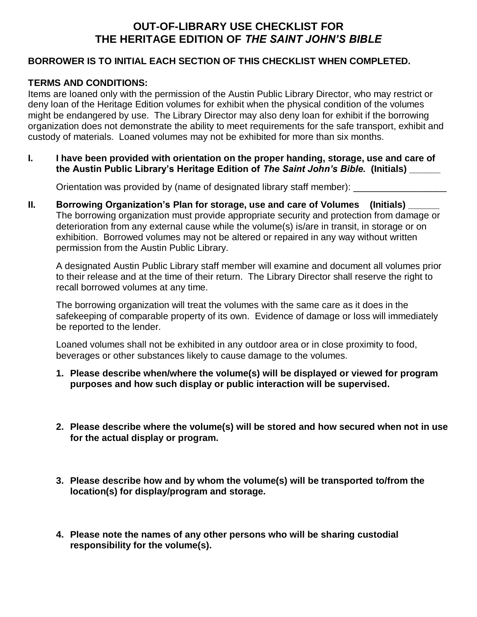## **OUT-OF-LIBRARY USE CHECKLIST FOR THE HERITAGE EDITION OF** *THE SAINT JOHN'S BIBLE*

#### **BORROWER IS TO INITIAL EACH SECTION OF THIS CHECKLIST WHEN COMPLETED.**

### **TERMS AND CONDITIONS:**

Items are loaned only with the permission of the Austin Public Library Director, who may restrict or deny loan of the Heritage Edition volumes for exhibit when the physical condition of the volumes might be endangered by use. The Library Director may also deny loan for exhibit if the borrowing organization does not demonstrate the ability to meet requirements for the safe transport, exhibit and custody of materials. Loaned volumes may not be exhibited for more than six months.

**I. I have been provided with orientation on the proper handing, storage, use and care of the Austin Public Library's Heritage Edition of** *The Saint John's Bible.* **(Initials) \_\_\_\_\_\_**

Orientation was provided by (name of designated library staff member): \_\_\_\_\_\_\_\_\_\_\_\_\_\_\_\_\_\_

**II.** Borrowing Organization's Plan for storage, use and care of Volumes (Initials) The borrowing organization must provide appropriate security and protection from damage or deterioration from any external cause while the volume(s) is/are in transit, in storage or on exhibition. Borrowed volumes may not be altered or repaired in any way without written permission from the Austin Public Library.

A designated Austin Public Library staff member will examine and document all volumes prior to their release and at the time of their return. The Library Director shall reserve the right to recall borrowed volumes at any time.

The borrowing organization will treat the volumes with the same care as it does in the safekeeping of comparable property of its own. Evidence of damage or loss will immediately be reported to the lender.

Loaned volumes shall not be exhibited in any outdoor area or in close proximity to food, beverages or other substances likely to cause damage to the volumes.

- **1. Please describe when/where the volume(s) will be displayed or viewed for program purposes and how such display or public interaction will be supervised.**
- **2. Please describe where the volume(s) will be stored and how secured when not in use for the actual display or program.**
- **3. Please describe how and by whom the volume(s) will be transported to/from the location(s) for display/program and storage.**
- **4. Please note the names of any other persons who will be sharing custodial responsibility for the volume(s).**